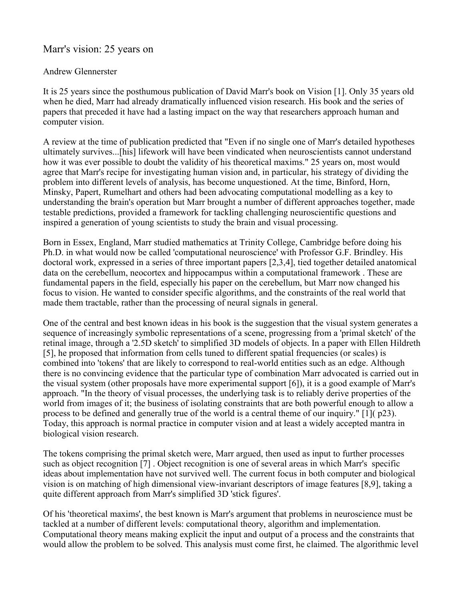# Marr's vision: 25 years on

## Andrew Glennerster

It is 25 years since the posthumous publication of David Marr's book on Vision [1]. Only 35 years old when he died, Marr had already dramatically influenced vision research. His book and the series of papers that preceded it have had a lasting impact on the way that researchers approach human and computer vision.

A review at the time of publication predicted that "Even if no single one of Marr's detailed hypotheses ultimately survives...[his] lifework will have been vindicated when neuroscientists cannot understand how it was ever possible to doubt the validity of his theoretical maxims." 25 years on, most would agree that Marr's recipe for investigating human vision and, in particular, his strategy of dividing the problem into different levels of analysis, has become unquestioned. At the time, Binford, Horn, Minsky, Papert, Rumelhart and others had been advocating computational modelling as a key to understanding the brain's operation but Marr brought a number of different approaches together, made testable predictions, provided a framework for tackling challenging neuroscientific questions and inspired a generation of young scientists to study the brain and visual processing.

Born in Essex, England, Marr studied mathematics at Trinity College, Cambridge before doing his Ph.D. in what would now be called 'computational neuroscience' with Professor G.F. Brindley. His doctoral work, expressed in a series of three important papers [2,3,4], tied together detailed anatomical data on the cerebellum, neocortex and hippocampus within a computational framework . These are fundamental papers in the field, especially his paper on the cerebellum, but Marr now changed his focus to vision. He wanted to consider specific algorithms, and the constraints of the real world that made them tractable, rather than the processing of neural signals in general.

One of the central and best known ideas in his book is the suggestion that the visual system generates a sequence of increasingly symbolic representations of a scene, progressing from a 'primal sketch' of the retinal image, through a '2.5D sketch' to simplified 3D models of objects. In a paper with Ellen Hildreth [5], he proposed that information from cells tuned to different spatial frequencies (or scales) is combined into 'tokens' that are likely to correspond to real-world entities such as an edge. Although there is no convincing evidence that the particular type of combination Marr advocated is carried out in the visual system (other proposals have more experimental support [6]), it is a good example of Marr's approach. "In the theory of visual processes, the underlying task is to reliably derive properties of the world from images of it; the business of isolating constraints that are both powerful enough to allow a process to be defined and generally true of the world is a central theme of our inquiry." [1]( p23). Today, this approach is normal practice in computer vision and at least a widely accepted mantra in biological vision research.

The tokens comprising the primal sketch were, Marr argued, then used as input to further processes such as object recognition [7] . Object recognition is one of several areas in which Marr's specific ideas about implementation have not survived well. The current focus in both computer and biological vision is on matching of high dimensional view-invariant descriptors of image features [8,9], taking a quite different approach from Marr's simplified 3D 'stick figures'.

Of his 'theoretical maxims', the best known is Marr's argument that problems in neuroscience must be tackled at a number of different levels: computational theory, algorithm and implementation. Computational theory means making explicit the input and output of a process and the constraints that would allow the problem to be solved. This analysis must come first, he claimed. The algorithmic level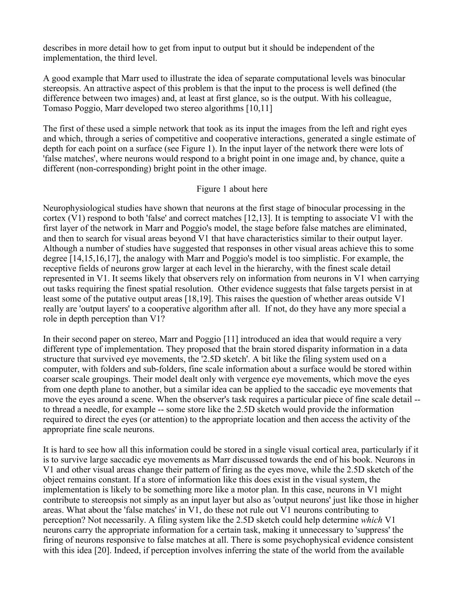describes in more detail how to get from input to output but it should be independent of the implementation, the third level.

A good example that Marr used to illustrate the idea of separate computational levels was binocular stereopsis. An attractive aspect of this problem is that the input to the process is well defined (the difference between two images) and, at least at first glance, so is the output. With his colleague, Tomaso Poggio, Marr developed two stereo algorithms [10,11]

The first of these used a simple network that took as its input the images from the left and right eyes and which, through a series of competitive and cooperative interactions, generated a single estimate of depth for each point on a surface (see Figure 1). In the input layer of the network there were lots of 'false matches', where neurons would respond to a bright point in one image and, by chance, quite a different (non-corresponding) bright point in the other image.

### Figure 1 about here

Neurophysiological studies have shown that neurons at the first stage of binocular processing in the cortex  $(V1)$  respond to both 'false' and correct matches [12,13]. It is tempting to associate V1 with the first layer of the network in Marr and Poggio's model, the stage before false matches are eliminated, and then to search for visual areas beyond V1 that have characteristics similar to their output layer. Although a number of studies have suggested that responses in other visual areas achieve this to some degree [14,15,16,17], the analogy with Marr and Poggio's model is too simplistic. For example, the receptive fields of neurons grow larger at each level in the hierarchy, with the finest scale detail represented in V1. It seems likely that observers rely on information from neurons in V1 when carrying out tasks requiring the finest spatial resolution. Other evidence suggests that false targets persist in at least some of the putative output areas [18,19]. This raises the question of whether areas outside V1 really are 'output layers' to a cooperative algorithm after all. If not, do they have any more special a role in depth perception than V1?

In their second paper on stereo, Marr and Poggio [11] introduced an idea that would require a very different type of implementation. They proposed that the brain stored disparity information in a data structure that survived eye movements, the '2.5D sketch'. A bit like the filing system used on a computer, with folders and sub-folders, fine scale information about a surface would be stored within coarser scale groupings. Their model dealt only with vergence eye movements, which move the eyes from one depth plane to another, but a similar idea can be applied to the saccadic eye movements that move the eyes around a scene. When the observer's task requires a particular piece of fine scale detail - to thread a needle, for example -- some store like the 2.5D sketch would provide the information required to direct the eyes (or attention) to the appropriate location and then access the activity of the appropriate fine scale neurons.

It is hard to see how all this information could be stored in a single visual cortical area, particularly if it is to survive large saccadic eye movements as Marr discussed towards the end of his book. Neurons in V1 and other visual areas change their pattern of firing as the eyes move, while the 2.5D sketch of the object remains constant. If a store of information like this does exist in the visual system, the implementation is likely to be something more like a motor plan. In this case, neurons in V1 might contribute to stereopsis not simply as an input layer but also as 'output neurons' just like those in higher areas. What about the 'false matches' in  $V_1$ , do these not rule out  $V_1$  neurons contributing to perception? Not necessarily. A filing system like the 2.5D sketch could help determine *which* V1 neurons carry the appropriate information for a certain task, making it unnecessary to 'suppress' the firing of neurons responsive to false matches at all. There is some psychophysical evidence consistent with this idea [20]. Indeed, if perception involves inferring the state of the world from the available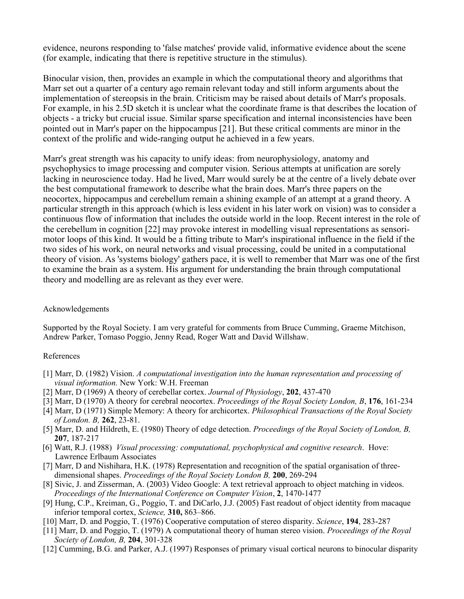evidence, neurons responding to 'false matches' provide valid, informative evidence about the scene (for example, indicating that there is repetitive structure in the stimulus).

Binocular vision, then, provides an example in which the computational theory and algorithms that Marr set out a quarter of a century ago remain relevant today and still inform arguments about the implementation of stereopsis in the brain. Criticism may be raised about details of Marr's proposals. For example, in his 2.5D sketch it is unclear what the coordinate frame is that describes the location of objects - a tricky but crucial issue. Similar sparse specification and internal inconsistencies have been pointed out in Marr's paper on the hippocampus [21]. But these critical comments are minor in the context of the prolific and wide-ranging output he achieved in a few years.

Marr's great strength was his capacity to unify ideas: from neurophysiology, anatomy and psychophysics to image processing and computer vision. Serious attempts at unification are sorely lacking in neuroscience today. Had he lived, Marr would surely be at the centre of a lively debate over the best computational framework to describe what the brain does. Marr's three papers on the neocortex, hippocampus and cerebellum remain a shining example of an attempt at a grand theory. A particular strength in this approach (which is less evident in his later work on vision) was to consider a continuous flow of information that includes the outside world in the loop. Recent interest in the role of the cerebellum in cognition [22] may provoke interest in modelling visual representations as sensorimotor loops of this kind. It would be a fitting tribute to Marr's inspirational influence in the field if the two sides of his work, on neural networks and visual processing, could be united in a computational theory of vision. As 'systems biology' gathers pace, it is well to remember that Marr was one of the first to examine the brain as a system. His argument for understanding the brain through computational theory and modelling are as relevant as they ever were.

### Acknowledgements

Supported by the Royal Society. I am very grateful for comments from Bruce Cumming, Graeme Mitchison, Andrew Parker, Tomaso Poggio, Jenny Read, Roger Watt and David Willshaw.

### References

- [1] Marr, D. (1982) Vision. *A computational investigation into the human representation and processing of visual information.* New York: W.H. Freeman
- [2] Marr, D (1969) A theory of cerebellar cortex. *Journal of Physiology*, **202**, 437-470
- [3] Marr, D (1970) A theory for cerebral neocortex. *Proceedings of the Royal Society London, B*, **176**, 161-234
- [4] Marr, D (1971) Simple Memory: A theory for archicortex. *Philosophical Transactions of the Royal Society of London. B,* **262**, 23-81.
- [5] Marr, D. and Hildreth, E. (1980) Theory of edge detection. *Proceedings of the Royal Society of London, B,* **207**, 187-217
- [6] Watt, R.J. (1988) *Visual processing: computational, psychophysical and cognitive research*. Hove: Lawrence Erlbaum Associates
- [7] Marr, D and Nishihara, H.K. (1978) Representation and recognition of the spatial organisation of threedimensional shapes. *Proceedings of the Royal Society London B,* **200**, 269-294
- [8] Sivic, J. and Zisserman, A. (2003) Video Google: A text retrieval approach to object matching in videos. *Proceedings of the International Conference on Computer Vision*, **2**, 1470-1477
- [9] Hung, C.P., Kreiman, G., Poggio, T. and DiCarlo, J.J. (2005) Fast readout of object identity from macaque inferior temporal cortex, *Science,* **310,** 863–866.
- [10] Marr, D. and Poggio, T. (1976) Cooperative computation of stereo disparity. *Science*, **194**, 283-287
- [11] Marr, D. and Poggio, T. (1979) A computational theory of human stereo vision. *Proceedings of the Royal Society of London, B,* **204**, 301-328
- [12] Cumming, B.G. and Parker, A.J. (1997) Responses of primary visual cortical neurons to binocular disparity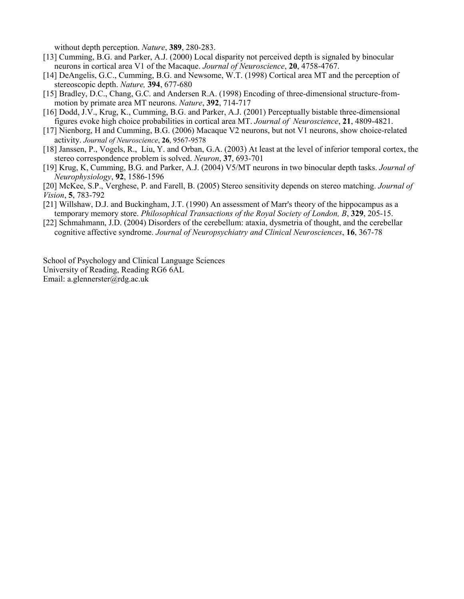without depth perception. *Nature*, **389**, 280-283.

- [13] Cumming, B.G. and Parker, A.J. (2000) Local disparity not perceived depth is signaled by binocular neurons in cortical area V1 of the Macaque. *Journal of Neuroscience*, **20**, 4758-4767.
- [14] DeAngelis, G.C., Cumming, B.G. and Newsome, W.T. (1998) Cortical area MT and the perception of stereoscopic depth. *Nature,* **394**, 677-680
- [15] Bradley, D.C., Chang, G.C. and Andersen R.A. (1998) Encoding of three-dimensional structure-frommotion by primate area MT neurons. *Nature*, **392**, 714-717
- [16] Dodd, J.V., Krug, K., Cumming, B.G. and Parker, A.J. (2001) Perceptually bistable three-dimensional figures evoke high choice probabilities in cortical area MT. *Journal of Neuroscience*, **21**, 4809-4821.
- [17] Nienborg, H and Cumming, B.G. (2006) Macaque V2 neurons, but not V1 neurons, show choice-related activity. *Journal of Neuroscience*, **26**, 9567-9578
- [18] Janssen, P., Vogels, R., Liu, Y. and Orban, G.A. (2003) At least at the level of inferior temporal cortex, the stereo correspondence problem is solved. *Neuron*, **37**, 693-701
- [19] Krug, K, Cumming, B.G. and Parker, A.J. (2004) V5/MT neurons in two binocular depth tasks. *Journal of Neurophysiology*, **92**, 1586-1596

[20] McKee, S.P., Verghese, P. and Farell, B. (2005) Stereo sensitivity depends on stereo matching. *Journal of Vision*, **5**, 783-792

- [21] Willshaw, D.J. and Buckingham, J.T. (1990) An assessment of Marr's theory of the hippocampus as a temporary memory store. *Philosophical Transactions of the Royal Society of London, B*, **329**, 205-15.
- [22] Schmahmann, J.D. (2004) Disorders of the cerebellum: ataxia, dysmetria of thought, and the cerebellar cognitive affective syndrome. *Journal of Neuropsychiatry and Clinical Neurosciences*, **16**, 367-78

School of Psychology and Clinical Language Sciences University of Reading, Reading RG6 6AL Email: a.glennerster@rdg.ac.uk